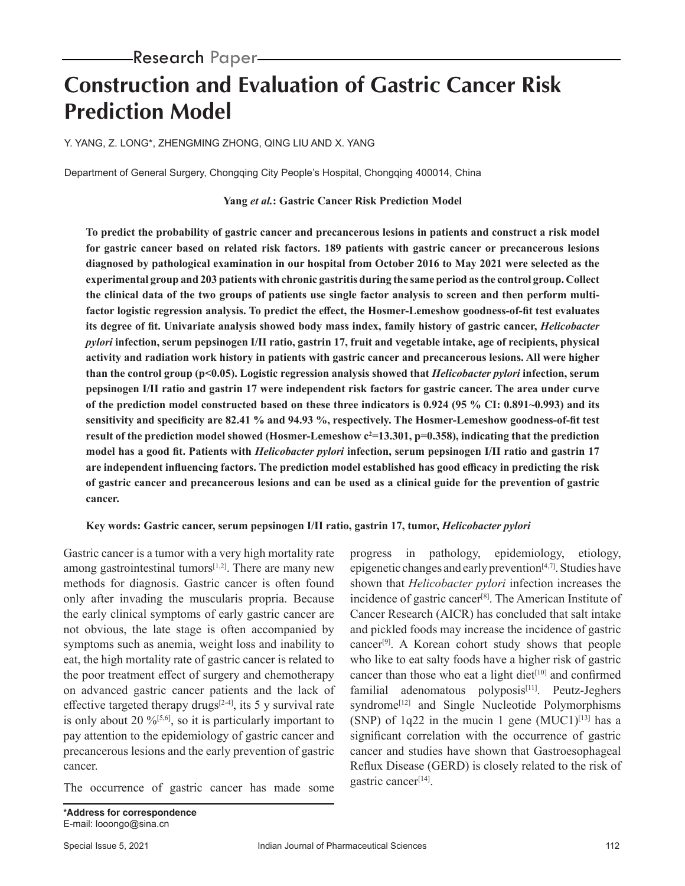# **Construction and Evaluation of Gastric Cancer Risk Prediction Model**

Y. YANG, Z. LONG\*, ZHENGMING ZHONG, QING LIU AND X. YANG

Department of General Surgery, Chongqing City People's Hospital, Chongqing 400014, China

#### **Yang** *et al.***: Gastric Cancer Risk Prediction Model**

**To predict the probability of gastric cancer and precancerous lesions in patients and construct a risk model for gastric cancer based on related risk factors. 189 patients with gastric cancer or precancerous lesions diagnosed by pathological examination in our hospital from October 2016 to May 2021 were selected as the experimental group and 203 patients with chronic gastritis during the same period as the control group. Collect the clinical data of the two groups of patients use single factor analysis to screen and then perform multifactor logistic regression analysis. To predict the effect, the Hosmer-Lemeshow goodness-of-fit test evaluates its degree of fit. Univariate analysis showed body mass index, family history of gastric cancer,** *Helicobacter pylori* **infection, serum pepsinogen I/II ratio, gastrin 17, fruit and vegetable intake, age of recipients, physical activity and radiation work history in patients with gastric cancer and precancerous lesions. All were higher than the control group (p<0.05). Logistic regression analysis showed that** *Helicobacter pylori* **infection, serum pepsinogen I/II ratio and gastrin 17 were independent risk factors for gastric cancer. The area under curve of the prediction model constructed based on these three indicators is 0.924 (95 % CI: 0.891~0.993) and its sensitivity and specificity are 82.41 % and 94.93 %, respectively. The Hosmer-Lemeshow goodness-of-fit test result of the prediction model showed (Hosmer-Lemeshow c<sup>2</sup> =13.301, p=0.358), indicating that the prediction model has a good fit. Patients with** *Helicobacter pylori* **infection, serum pepsinogen I/II ratio and gastrin 17 are independent influencing factors. The prediction model established has good efficacy in predicting the risk of gastric cancer and precancerous lesions and can be used as a clinical guide for the prevention of gastric cancer.**

# **Key words: Gastric cancer, serum pepsinogen I/II ratio, gastrin 17, tumor,** *Helicobacter pylori*

Gastric cancer is a tumor with a very high mortality rate among gastrointestinal tumors $[1,2]$ . There are many new methods for diagnosis. Gastric cancer is often found only after invading the muscularis propria. Because the early clinical symptoms of early gastric cancer are not obvious, the late stage is often accompanied by symptoms such as anemia, weight loss and inability to eat, the high mortality rate of gastric cancer is related to the poor treatment effect of surgery and chemotherapy on advanced gastric cancer patients and the lack of effective targeted therapy drugs<sup>[2-4]</sup>, its 5 y survival rate is only about 20  $\frac{9}{6}$ <sup>[5,6]</sup>, so it is particularly important to pay attention to the epidemiology of gastric cancer and precancerous lesions and the early prevention of gastric cancer.

The occurrence of gastric cancer has made some

progress in pathology, epidemiology, etiology, epigenetic changes and early prevention<sup>[4,7]</sup>. Studies have shown that *Helicobacter pylori* infection increases the incidence of gastric cancer<sup>[8]</sup>. The American Institute of Cancer Research (AICR) has concluded that salt intake and pickled foods may increase the incidence of gastric cancer[9]. A Korean cohort study shows that people who like to eat salty foods have a higher risk of gastric cancer than those who eat a light diet $[10]$  and confirmed familial adenomatous polyposis $[11]$ . Peutz-Jeghers syndrome<sup>[12]</sup> and Single Nucleotide Polymorphisms (SNP) of  $1q22$  in the mucin 1 gene (MUC1)<sup>[13]</sup> has a significant correlation with the occurrence of gastric cancer and studies have shown that Gastroesophageal Reflux Disease (GERD) is closely related to the risk of gastric cancer<sup>[14]</sup>.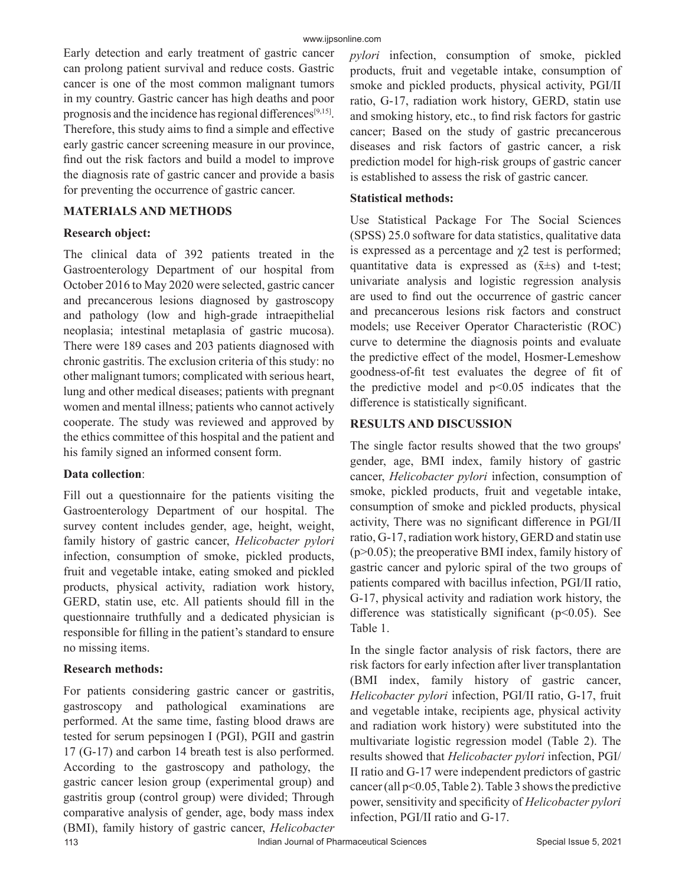Early detection and early treatment of gastric cancer can prolong patient survival and reduce costs. Gastric cancer is one of the most common malignant tumors in my country. Gastric cancer has high deaths and poor prognosis and the incidence has regional differences<sup>[9,15]</sup>. Therefore, this study aims to find a simple and effective early gastric cancer screening measure in our province, find out the risk factors and build a model to improve the diagnosis rate of gastric cancer and provide a basis for preventing the occurrence of gastric cancer.

# **MATERIALS AND METHODS**

#### **Research object:**

The clinical data of 392 patients treated in the Gastroenterology Department of our hospital from October 2016 to May 2020 were selected, gastric cancer and precancerous lesions diagnosed by gastroscopy and pathology (low and high-grade intraepithelial neoplasia; intestinal metaplasia of gastric mucosa). There were 189 cases and 203 patients diagnosed with chronic gastritis. The exclusion criteria of this study: no other malignant tumors; complicated with serious heart, lung and other medical diseases; patients with pregnant women and mental illness; patients who cannot actively cooperate. The study was reviewed and approved by the ethics committee of this hospital and the patient and his family signed an informed consent form.

# **Data collection**:

Fill out a questionnaire for the patients visiting the Gastroenterology Department of our hospital. The survey content includes gender, age, height, weight, family history of gastric cancer, *Helicobacter pylori*  infection, consumption of smoke, pickled products, fruit and vegetable intake, eating smoked and pickled products, physical activity, radiation work history, GERD, statin use, etc. All patients should fill in the questionnaire truthfully and a dedicated physician is responsible for filling in the patient's standard to ensure no missing items.

# **Research methods:**

113 **Indian Journal of Pharmaceutical Sciences** Special Issue 5, 2021 For patients considering gastric cancer or gastritis, gastroscopy and pathological examinations are performed. At the same time, fasting blood draws are tested for serum pepsinogen I (PGI), PGII and gastrin 17 (G-17) and carbon 14 breath test is also performed. According to the gastroscopy and pathology, the gastric cancer lesion group (experimental group) and gastritis group (control group) were divided; Through comparative analysis of gender, age, body mass index (BMI), family history of gastric cancer, *Helicobacter* 

*pylori* infection, consumption of smoke, pickled products, fruit and vegetable intake, consumption of smoke and pickled products, physical activity, PGI/II ratio, G-17, radiation work history, GERD, statin use and smoking history, etc., to find risk factors for gastric cancer; Based on the study of gastric precancerous diseases and risk factors of gastric cancer, a risk prediction model for high-risk groups of gastric cancer is established to assess the risk of gastric cancer.

#### **Statistical methods:**

Use Statistical Package For The Social Sciences (SPSS) 25.0 software for data statistics, qualitative data is expressed as a percentage and  $\chi$ 2 test is performed; quantitative data is expressed as  $(\bar{x} \pm s)$  and t-test; univariate analysis and logistic regression analysis are used to find out the occurrence of gastric cancer and precancerous lesions risk factors and construct models; use Receiver Operator Characteristic (ROC) curve to determine the diagnosis points and evaluate the predictive effect of the model, Hosmer-Lemeshow goodness-of-fit test evaluates the degree of fit of the predictive model and  $p<0.05$  indicates that the difference is statistically significant.

#### **RESULTS AND DISCUSSION**

The single factor results showed that the two groups' gender, age, BMI index, family history of gastric cancer, *Helicobacter pylori* infection, consumption of smoke, pickled products, fruit and vegetable intake, consumption of smoke and pickled products, physical activity, There was no significant difference in PGI/II ratio, G-17, radiation work history, GERD and statin use  $(p>0.05)$ ; the preoperative BMI index, family history of gastric cancer and pyloric spiral of the two groups of patients compared with bacillus infection, PGI/II ratio, G-17, physical activity and radiation work history, the difference was statistically significant ( $p$ <0.05). See Table 1.

In the single factor analysis of risk factors, there are risk factors for early infection after liver transplantation (BMI index, family history of gastric cancer, *Helicobacter pylori* infection, PGI/II ratio, G-17, fruit and vegetable intake, recipients age, physical activity and radiation work history) were substituted into the multivariate logistic regression model (Table 2). The results showed that *Helicobacter pylori* infection, PGI/ II ratio and G-17 were independent predictors of gastric cancer (all p<0.05, Table 2). Table 3 shows the predictive power, sensitivity and specificity of *Helicobacter pylori*  infection, PGI/II ratio and G-17.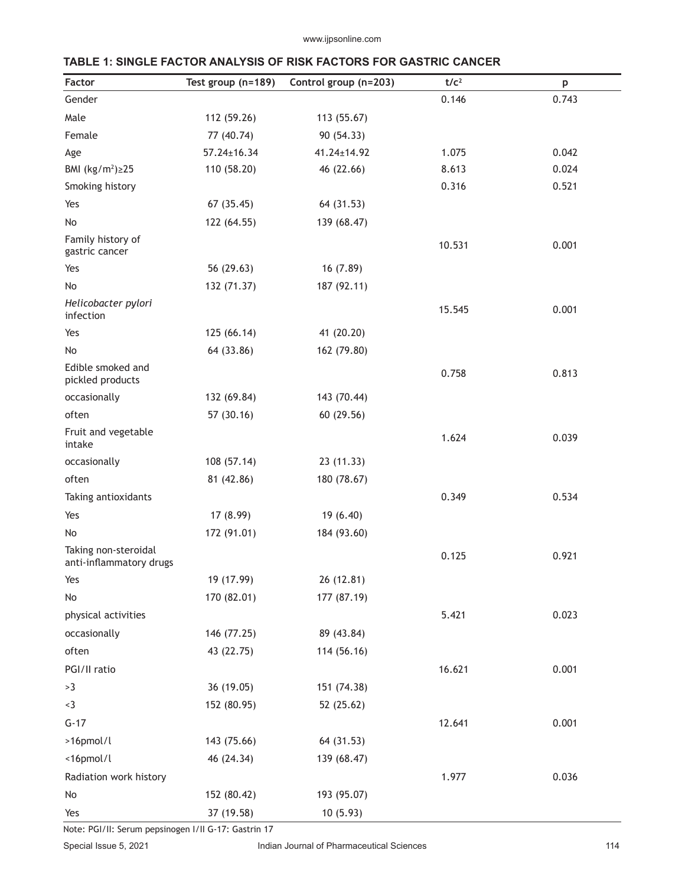www.ijpsonline.com

# **TABLE 1: SINGLE FACTOR ANALYSIS OF RISK FACTORS FOR GASTRIC CANCER**

| Factor                                          | Test group (n=189) | Control group (n=203) | t/c <sup>2</sup> | p     |
|-------------------------------------------------|--------------------|-----------------------|------------------|-------|
| Gender                                          |                    |                       | 0.146            | 0.743 |
| Male                                            | 112 (59.26)        | 113 (55.67)           |                  |       |
| Female                                          | 77 (40.74)         | 90 (54.33)            |                  |       |
| Age                                             | 57.24±16.34        | 41.24±14.92           | 1.075            | 0.042 |
| BMI $(kg/m^2) \geq 25$                          | 110 (58.20)        | 46 (22.66)            | 8.613            | 0.024 |
| Smoking history                                 |                    |                       | 0.316            | 0.521 |
| Yes                                             | 67(35.45)          | 64 (31.53)            |                  |       |
| No                                              | 122 (64.55)        | 139 (68.47)           |                  |       |
| Family history of<br>gastric cancer             |                    |                       | 10.531           | 0.001 |
| Yes                                             | 56 (29.63)         | 16(7.89)              |                  |       |
| No                                              | 132 (71.37)        | 187 (92.11)           |                  |       |
| Helicobacter pylori<br>infection                |                    |                       | 15.545           | 0.001 |
| Yes                                             | 125 (66.14)        | 41 (20.20)            |                  |       |
| No                                              | 64 (33.86)         | 162 (79.80)           |                  |       |
| Edible smoked and<br>pickled products           |                    |                       | 0.758            | 0.813 |
| occasionally                                    | 132 (69.84)        | 143 (70.44)           |                  |       |
| often                                           | 57 (30.16)         | 60 (29.56)            |                  |       |
| Fruit and vegetable<br>intake                   |                    |                       | 1.624            | 0.039 |
| occasionally                                    | 108 (57.14)        | 23(11.33)             |                  |       |
| often                                           | 81 (42.86)         | 180 (78.67)           |                  |       |
| Taking antioxidants                             |                    |                       | 0.349            | 0.534 |
| Yes                                             | 17 (8.99)          | 19(6.40)              |                  |       |
| No                                              | 172 (91.01)        | 184 (93.60)           |                  |       |
| Taking non-steroidal<br>anti-inflammatory drugs |                    |                       | 0.125            | 0.921 |
| Yes                                             | 19 (17.99)         | 26 (12.81)            |                  |       |
| No                                              | 170 (82.01)        | 177 (87.19)           |                  |       |
| physical activities                             |                    |                       | 5.421            | 0.023 |
| occasionally                                    | 146 (77.25)        | 89 (43.84)            |                  |       |
| often                                           | 43 (22.75)         | 114 (56.16)           |                  |       |
| PGI/II ratio                                    |                    |                       | 16.621           | 0.001 |
| >3                                              | 36 (19.05)         | 151 (74.38)           |                  |       |
| $3$                                             | 152 (80.95)        | 52 (25.62)            |                  |       |
| $G - 17$                                        |                    |                       | 12.641           | 0.001 |
| >16pmol/l                                       | 143 (75.66)        | 64 (31.53)            |                  |       |
| <16pmol/l                                       | 46 (24.34)         | 139 (68.47)           |                  |       |
| Radiation work history                          |                    |                       | 1.977            | 0.036 |
| No                                              | 152 (80.42)        | 193 (95.07)           |                  |       |
| Yes                                             | 37 (19.58)         | 10(5.93)              |                  |       |

Note: PGI/II: Serum pepsinogen I/II G-17: Gastrin 17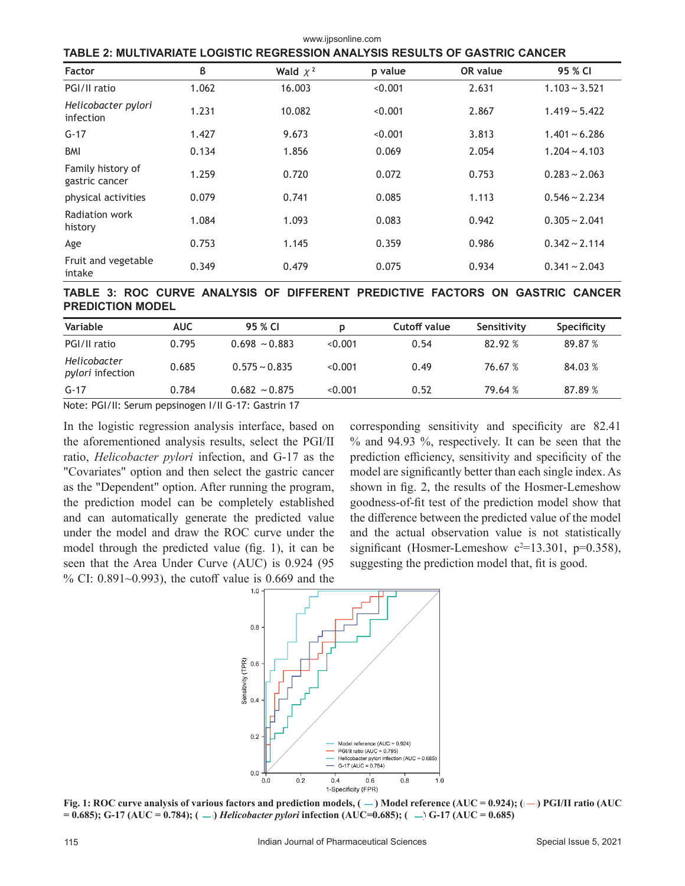| <b>Factor</b>                       | ß     | Wald $\chi^2$ | p value | OR value | 95 % CI            |  |
|-------------------------------------|-------|---------------|---------|----------|--------------------|--|
| PGI/II ratio                        | 1.062 | 16.003        | < 0.001 | 2.631    | $1.103 \sim 3.521$ |  |
| Helicobacter pylori<br>infection    | 1.231 | 10.082        | < 0.001 | 2.867    | $1.419 \sim 5.422$ |  |
| $G - 17$                            | 1.427 | 9.673         | < 0.001 | 3.813    | $1.401 \sim 6.286$ |  |
| <b>BMI</b>                          | 0.134 | 1.856         | 0.069   | 2.054    | $1.204 \sim 4.103$ |  |
| Family history of<br>gastric cancer | 1.259 | 0.720         | 0.072   | 0.753    | $0.283 \sim 2.063$ |  |
| physical activities                 | 0.079 | 0.741         | 0.085   | 1.113    | $0.546 \sim 2.234$ |  |
| Radiation work<br>history           | 1.084 | 1.093         | 0.083   | 0.942    | $0.305 \sim 2.041$ |  |
| Age                                 | 0.753 | 1.145         | 0.359   | 0.986    | $0.342 \sim 2.114$ |  |
| Fruit and vegetable<br>intake       | 0.349 | 0.479         | 0.075   | 0.934    | $0.341 \sim 2.043$ |  |

www.ijpsonline.com

**TABLE 2: MULTIVARIATE LOGISTIC REGRESSION ANALYSIS RESULTS OF GASTRIC CANCER**

**TABLE 3: ROC CURVE ANALYSIS OF DIFFERENT PREDICTIVE FACTORS ON GASTRIC CANCER PREDICTION MODEL**

| Variable                                | <b>AUC</b> | 95 % CI            |         | <b>Cutoff value</b> | Sensitivity | Specificity |
|-----------------------------------------|------------|--------------------|---------|---------------------|-------------|-------------|
| PGI/II ratio                            | 0.795      | $0.698 \sim 0.883$ | < 0.001 | 0.54                | 82.92 %     | 89.87 %     |
| Helicobacter<br><i>pylori</i> infection | 0.685      | $0.575 \sim 0.835$ | < 0.001 | 0.49                | 76.67 %     | 84.03 %     |
| $G-17$                                  | 0.784      | $0.682 \sim 0.875$ | < 0.001 | 0.52                | 79.64 %     | 87.89 %     |

Note: PGI/II: Serum pepsinogen I/II G-17: Gastrin 17

In the logistic regression analysis interface, based on the aforementioned analysis results, select the PGI/II ratio, *Helicobacter pylori* infection, and G-17 as the "Covariates" option and then select the gastric cancer as the "Dependent" option. After running the program, the prediction model can be completely established and can automatically generate the predicted value under the model and draw the ROC curve under the model through the predicted value (fig. 1), it can be seen that the Area Under Curve (AUC) is 0.924 (95 % CI: 0.891~0.993), the cutoff value is 0.669 and the

corresponding sensitivity and specificity are 82.41 % and 94.93 %, respectively. It can be seen that the prediction efficiency, sensitivity and specificity of the model are significantly better than each single index. As shown in fig. 2, the results of the Hosmer-Lemeshow goodness-of-fit test of the prediction model show that the difference between the predicted value of the model and the actual observation value is not statistically significant (Hosmer-Lemeshow  $c^2$ =13.301, p=0.358), suggesting the prediction model that, fit is good.



**Fig. 1: ROC curve analysis of various factors and prediction models,**  $(-)$  **Model reference (AUC = 0.924);**  $(-)$  **PGI/II ratio (AUC**  $= 0.685$ ; G-17 (AUC = 0.784); (  $-$  ) *Helicobacter pylori* infection (AUC=0.685); (  $-$  ) G-17 (AUC = 0.685)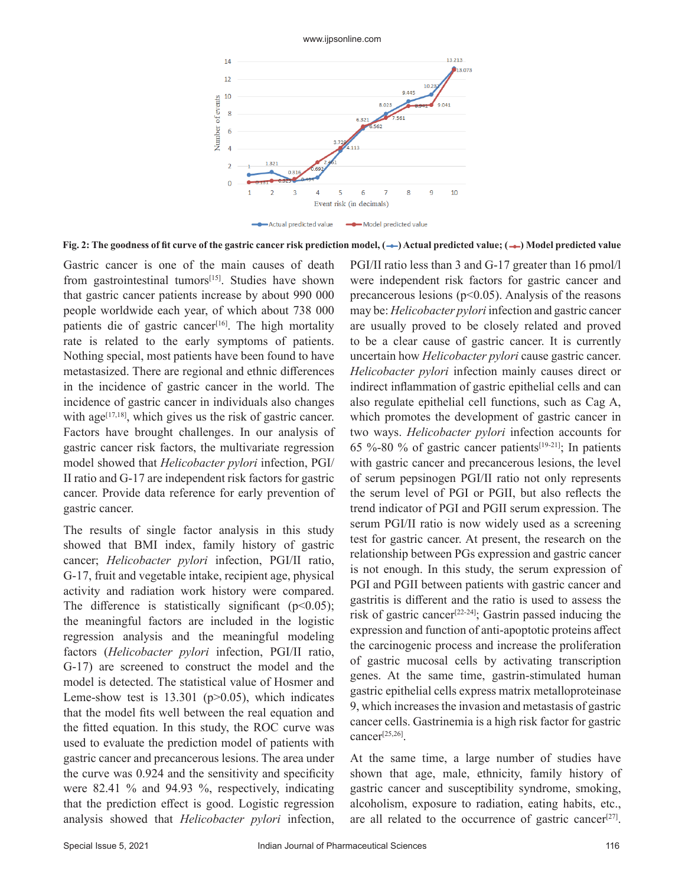www.ijpsonline.com



**Fig. 2: The goodness of fit curve of the gastric cancer risk prediction model, (** $\rightarrow$ **) Actual predicted value; (** $\rightarrow$ **) Model predicted value** 

Gastric cancer is one of the main causes of death from gastrointestinal tumors<sup>[15]</sup>. Studies have shown that gastric cancer patients increase by about 990 000 people worldwide each year, of which about 738 000 patients die of gastric cancer<sup>[16]</sup>. The high mortality rate is related to the early symptoms of patients. Nothing special, most patients have been found to have metastasized. There are regional and ethnic differences in the incidence of gastric cancer in the world. The incidence of gastric cancer in individuals also changes with age<sup>[17,18]</sup>, which gives us the risk of gastric cancer. Factors have brought challenges. In our analysis of gastric cancer risk factors, the multivariate regression model showed that *Helicobacter pylori* infection, PGI/ II ratio and G-17 are independent risk factors for gastric cancer. Provide data reference for early prevention of gastric cancer.

The results of single factor analysis in this study showed that BMI index, family history of gastric cancer; *Helicobacter pylori* infection, PGI/II ratio, G-17, fruit and vegetable intake, recipient age, physical activity and radiation work history were compared. The difference is statistically significant ( $p<0.05$ ); the meaningful factors are included in the logistic regression analysis and the meaningful modeling factors (*Helicobacter pylori* infection, PGI/II ratio, G-17) are screened to construct the model and the model is detected. The statistical value of Hosmer and Leme-show test is  $13.301$  (p $>0.05$ ), which indicates that the model fits well between the real equation and the fitted equation. In this study, the ROC curve was used to evaluate the prediction model of patients with gastric cancer and precancerous lesions. The area under the curve was 0.924 and the sensitivity and specificity were 82.41 % and 94.93 %, respectively, indicating that the prediction effect is good. Logistic regression analysis showed that *Helicobacter pylori* infection,

PGI/II ratio less than 3 and G-17 greater than 16 pmol/l were independent risk factors for gastric cancer and precancerous lesions ( $p<0.05$ ). Analysis of the reasons may be: *Helicobacter pylori* infection and gastric cancer are usually proved to be closely related and proved to be a clear cause of gastric cancer. It is currently uncertain how *Helicobacter pylori* cause gastric cancer. *Helicobacter pylori* infection mainly causes direct or indirect inflammation of gastric epithelial cells and can also regulate epithelial cell functions, such as Cag A, which promotes the development of gastric cancer in two ways. *Helicobacter pylori* infection accounts for 65 %-80 % of gastric cancer patients<sup>[19-21]</sup>; In patients with gastric cancer and precancerous lesions, the level of serum pepsinogen PGI/II ratio not only represents the serum level of PGI or PGII, but also reflects the trend indicator of PGI and PGII serum expression. The serum PGI/II ratio is now widely used as a screening test for gastric cancer. At present, the research on the relationship between PGs expression and gastric cancer is not enough. In this study, the serum expression of PGI and PGII between patients with gastric cancer and gastritis is different and the ratio is used to assess the risk of gastric cancer[22-24]; Gastrin passed inducing the expression and function of anti-apoptotic proteins affect the carcinogenic process and increase the proliferation of gastric mucosal cells by activating transcription genes. At the same time, gastrin-stimulated human gastric epithelial cells express matrix metalloproteinase 9, which increases the invasion and metastasis of gastric cancer cells. Gastrinemia is a high risk factor for gastric cancer[25,26].

At the same time, a large number of studies have shown that age, male, ethnicity, family history of gastric cancer and susceptibility syndrome, smoking, alcoholism, exposure to radiation, eating habits, etc., are all related to the occurrence of gastric cancer<sup>[27]</sup>.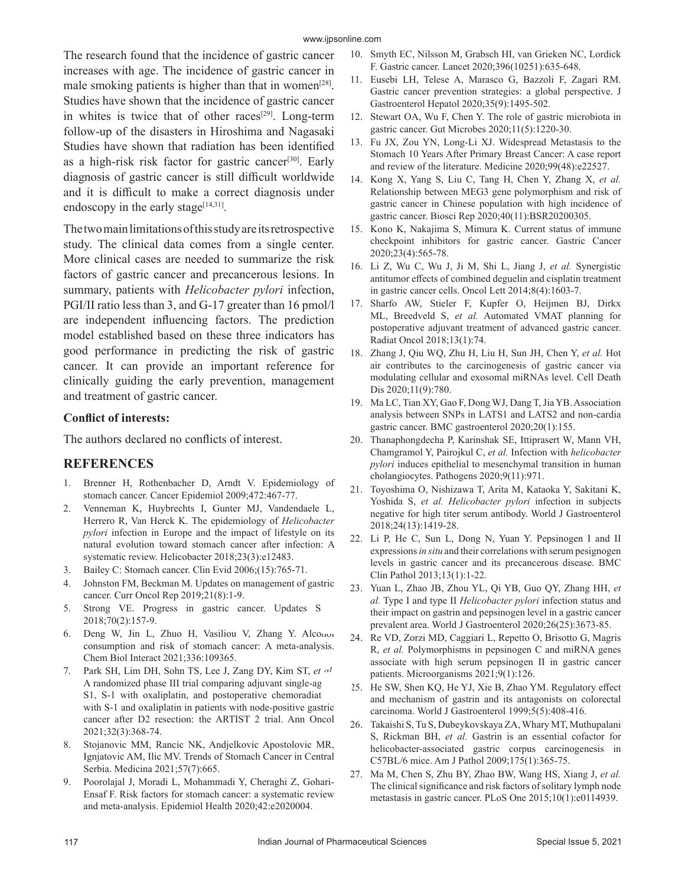The research found that the incidence of gastric cancer increases with age. The incidence of gastric cancer in male smoking patients is higher than that in women<sup>[28]</sup>. Studies have shown that the incidence of gastric cancer in whites is twice that of other races<sup>[29]</sup>. Long-term follow-up of the disasters in Hiroshima and Nagasaki Studies have shown that radiation has been identified as a high-risk risk factor for gastric cancer<sup>[30]</sup>. Early diagnosis of gastric cancer is still difficult worldwide and it is difficult to make a correct diagnosis under endoscopy in the early stage $[14,31]$ .

The two main limitations of this study are its retrospective study. The clinical data comes from a single center. More clinical cases are needed to summarize the risk factors of gastric cancer and precancerous lesions. In summary, patients with *Helicobacter pylori* infection, PGI/II ratio less than 3, and G-17 greater than 16 pmol/l are independent influencing factors. The prediction model established based on these three indicators has good performance in predicting the risk of gastric cancer. It can provide an important reference for clinically guiding the early prevention, management and treatment of gastric cancer.

#### **Conflict of interests:**

The authors declared no conflicts of interest.

# **REFERENCES**

- 1. Brenner H, Rothenbacher D, Arndt V. Epidemiology of stomach cancer. Cancer Epidemiol 2009;472:467-77.
- 2. Venneman K, Huybrechts I, Gunter MJ, Vandendaele L, Herrero R, Van Herck K. The epidemiology of *Helicobacter pylori* infection in Europe and the impact of lifestyle on its natural evolution toward stomach cancer after infection: A systematic review. Helicobacter 2018;23(3):e12483.
- 3. Bailey C: Stomach cancer. Clin Evid 2006;(15):765-71.
- 4. Johnston FM, Beckman M. Updates on management of gastric cancer. Curr Oncol Rep 2019;21(8):1-9.
- 5. Strong VE. Progress in gastric cancer. Updates S 2018;70(2):157-9.
- 6. Deng W, Jin L, Zhuo H, Vasiliou V, Zhang Y. Alconou consumption and risk of stomach cancer: A meta-analysis. Chem Biol Interact 2021;336:109365.
- 7. Park SH, Lim DH, Sohn TS, Lee J, Zang DY, Kim ST, *et al.* A randomized phase III trial comparing adjuvant single-ag S1, S-1 with oxaliplatin, and postoperative chemoradiat with S-1 and oxaliplatin in patients with node-positive gastric cancer after D2 resection: the ARTIST 2 trial. Ann Oncol 2021;32(3):368-74.
- 8. Stojanovic MM, Rancic NK, Andjelkovic Apostolovic MR, Ignjatovic AM, Ilic MV. Trends of Stomach Cancer in Central Serbia. Medicina 2021;57(7):665.
- 9. Poorolajal J, Moradi L, Mohammadi Y, Cheraghi Z, Gohari-Ensaf F. Risk factors for stomach cancer: a systematic review and meta-analysis. Epidemiol Health 2020;42:e2020004.
- 10. Smyth EC, Nilsson M, Grabsch HI, van Grieken NC, Lordick F. Gastric cancer. Lancet 2020;396(10251):635-648.
- 11. Eusebi LH, Telese A, Marasco G, Bazzoli F, Zagari RM. Gastric cancer prevention strategies: a global perspective. J Gastroenterol Hepatol 2020;35(9):1495-502.
- 12. Stewart OA, Wu F, Chen Y. The role of gastric microbiota in gastric cancer. Gut Microbes 2020;11(5):1220-30.
- 13. Fu JX, Zou YN, Long-Li XJ. Widespread Metastasis to the Stomach 10 Years After Primary Breast Cancer: A case report and review of the literature. Medicine 2020;99(48):e22527.
- 14. Kong X, Yang S, Liu C, Tang H, Chen Y, Zhang X, *et al.* Relationship between MEG3 gene polymorphism and risk of gastric cancer in Chinese population with high incidence of gastric cancer. Biosci Rep 2020;40(11):BSR20200305.
- 15. Kono K, Nakajima S, Mimura K. Current status of immune checkpoint inhibitors for gastric cancer. Gastric Cancer 2020;23(4):565-78.
- 16. Li Z, Wu C, Wu J, Ji M, Shi L, Jiang J, *et al.* Synergistic antitumor effects of combined deguelin and cisplatin treatment in gastric cancer cells. Oncol Lett 2014;8(4):1603-7.
- 17. Sharfo AW, Stieler F, Kupfer O, Heijmen BJ, Dirkx ML, Breedveld S, *et al.* Automated VMAT planning for postoperative adjuvant treatment of advanced gastric cancer. Radiat Oncol 2018;13(1):74.
- 18. Zhang J, Qiu WQ, Zhu H, Liu H, Sun JH, Chen Y, *et al.* Hot air contributes to the carcinogenesis of gastric cancer via modulating cellular and exosomal miRNAs level. Cell Death Dis 2020;11(9):780.
- 19. Ma LC, Tian XY, Gao F, Dong WJ, Dang T, Jia YB. Association analysis between SNPs in LATS1 and LATS2 and non-cardia gastric cancer. BMC gastroenterol 2020;20(1):155.
- 20. Thanaphongdecha P, Karinshak SE, Ittiprasert W, Mann VH, Chamgramol Y, Pairojkul C, *et al.* Infection with *helicobacter pylori* induces epithelial to mesenchymal transition in human cholangiocytes. Pathogens 2020;9(11):971.
- 21. Toyoshima O, Nishizawa T, Arita M, Kataoka Y, Sakitani K, Yoshida S, *et al. Helicobacter pylori* infection in subjects negative for high titer serum antibody. World J Gastroenterol 2018;24(13):1419-28.
- 22. Li P, He C, Sun L, Dong N, Yuan Y. Pepsinogen I and II expressions *in situ* and their correlations with serum pesignogen levels in gastric cancer and its precancerous disease. BMC Clin Pathol 2013;13(1):1-22.
- 23. Yuan L, Zhao JB, Zhou YL, Qi YB, Guo QY, Zhang HH, *et al.* Type I and type II *Helicobacter pylori* infection status and their impact on gastrin and pepsinogen level in a gastric cancer prevalent area. World J Gastroenterol 2020;26(25):3673-85.
- 24. Re VD, Zorzi MD, Caggiari L, Repetto O, Brisotto G, Magris R, *et al.* Polymorphisms in pepsinogen C and miRNA genes associate with high serum pepsinogen II in gastric cancer patients. Microorganisms 2021;9(1):126.
- 25. He SW, Shen KQ, He YJ, Xie B, Zhao YM. Regulatory effect and mechanism of gastrin and its antagonists on colorectal carcinoma. World J Gastroenterol 1999;5(5):408-416.
- 26. Takaishi S, Tu S, Dubeykovskaya ZA, Whary MT, Muthupalani S, Rickman BH, *et al.* Gastrin is an essential cofactor for helicobacter-associated gastric corpus carcinogenesis in C57BL/6 mice. Am J Pathol 2009;175(1):365-75.
- 27. Ma M, Chen S, Zhu BY, Zhao BW, Wang HS, Xiang J, *et al.* The clinical significance and risk factors of solitary lymph node metastasis in gastric cancer. PLoS One 2015;10(1):e0114939.